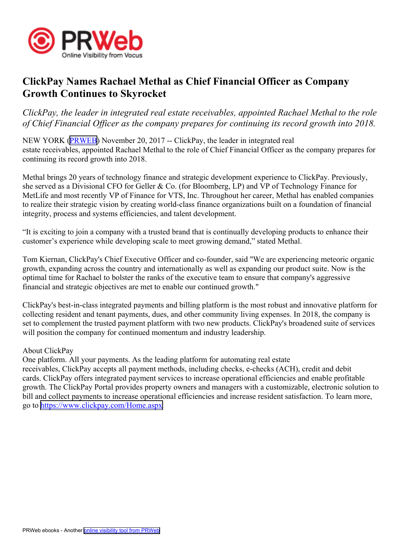

## **ClickPay Names Rachael Methal as Chief Financial Officer as Company Growth Continues to Skyrocket**

ClickPay, the leader in integrated real estate receivables, appointed Rachael Methal to the role of Chief Financial Officer as the company prepares for continuing its record growth into 2018.

NEW YORK [\(PRWEB\)](http://www.prweb.com) November 20, <sup>2017</sup> -- ClickPay, the leader in integrated real estate receivables, appointed Rachael Methal to the role of Chief Financial Officer as the company prepares for continuing its record growth into 2018.  

Methal brings <sup>20</sup> years of technology finance and strategic development experience to ClickPay. Previously, she served as <sup>a</sup> Divisional CFO for Geller & Co. (for Bloomberg, LP) and VP of Technology Finance for MetLife and most recently VP of Finance for VTS, Inc. Throughout her career, Methal has enabled companies to realize their strategic vision by creating world-class finance organizations built on <sup>a</sup> foundation of financial integrity, process and systems efficiencies, and talent development.

"It is exciting to join <sup>a</sup> company with <sup>a</sup> trusted brand that is continually developing products to enhance their customer's experience while developing scale to meet growing demand," stated Methal.

Tom Kiernan, ClickPay's Chief Executive Officer and co-founder, said "We are experiencing meteoric organic growth, expanding across the country and internationally as well as expanding our product suite. Now is the optimal time for Rachael to bolster the ranks of the executive team to ensure that company's aggressive financial and strategic objectives are met to enable our continued growth."

ClickPay's best-in-class integrated payments and billing <sup>p</sup>latform is the most robust and innovative <sup>p</sup>latform for collecting resident and tenant payments, dues, and other community living expenses. In 2018, the company is set to complement the trusted paymen<sup>t</sup> <sup>p</sup>latform with two new products. ClickPay's broadened suite of services will position the company for continued momentum and industry leadership.

## About ClickPay

One platform. All your payments. As the leading <sup>p</sup>latform for automating real estate receivables, ClickPay accepts all paymen<sup>t</sup> methods, including checks, e-checks (ACH), credit and debit cards. ClickPay offers integrated paymen<sup>t</sup> services to increase operational efficiencies and enable profitable growth. The ClickPay Portal provides property owners and managers with <sup>a</sup> customizable, electronic solution to bill and collect payments to increase operational efficiencies and increase resident satisfaction. To learn more, go to<https://www.clickpay.com/Home.aspx>